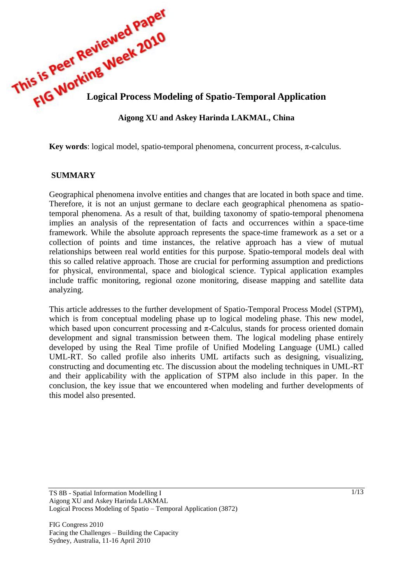

**Key words**: logical model, spatio-temporal phenomena, concurrent process,  $\pi$ -calculus.

#### **SUMMARY**

Geographical phenomena involve entities and changes that are located in both space and time. Therefore, it is not an unjust germane to declare each geographical phenomena as spatiotemporal phenomena. As a result of that, building taxonomy of spatio-temporal phenomena implies an analysis of the representation of facts and occurrences within a space-time framework. While the absolute approach represents the space-time framework as a set or a collection of points and time instances, the relative approach has a view of mutual relationships between real world entities for this purpose. Spatio-temporal models deal with this so called relative approach. Those are crucial for performing assumption and predictions for physical, environmental, space and biological science. Typical application examples include traffic monitoring, regional ozone monitoring, disease mapping and satellite data analyzing.

This article addresses to the further development of Spatio-Temporal Process Model (STPM), which is from conceptual modeling phase up to logical modeling phase. This new model, which based upon concurrent processing and  $\pi$ -Calculus, stands for process oriented domain development and signal transmission between them. The logical modeling phase entirely developed by using the Real Time profile of Unified Modeling Language (UML) called UML-RT. So called profile also inherits UML artifacts such as designing, visualizing, constructing and documenting etc. The discussion about the modeling techniques in UML-RT and their applicability with the application of STPM also include in this paper. In the conclusion, the key issue that we encountered when modeling and further developments of this model also presented.

FIG Congress 2010 Facing the Challenges – Building the Capacity Sydney, Australia, 11-16 April 2010

TS 8B - Spatial Information Modelling I Aigong XU and Askey Harinda LAKMAL Logical Process Modeling of Spatio – Temporal Application (3872)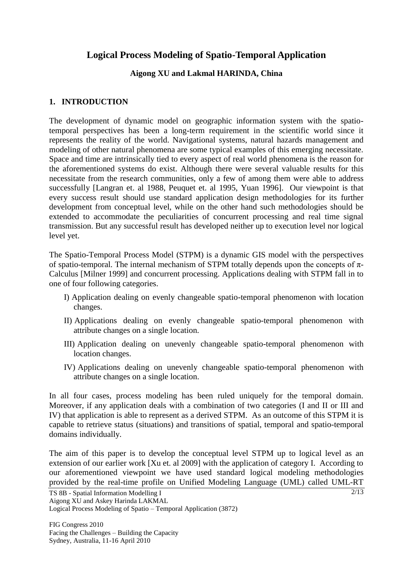# **Logical Process Modeling of Spatio-Temporal Application**

### **Aigong XU and Lakmal HARINDA, China**

### **1. INTRODUCTION**

The development of dynamic model on geographic information system with the spatiotemporal perspectives has been a long-term requirement in the scientific world since it represents the reality of the world. Navigational systems, natural hazards management and modeling of other natural phenomena are some typical examples of this emerging necessitate. Space and time are intrinsically tied to every aspect of real world phenomena is the reason for the aforementioned systems do exist. Although there were several valuable results for this necessitate from the research communities, only a few of among them were able to address successfully [Langran et. al 1988, Peuquet et. al 1995, Yuan 1996]. Our viewpoint is that every success result should use standard application design methodologies for its further development from conceptual level, while on the other hand such methodologies should be extended to accommodate the peculiarities of concurrent processing and real time signal transmission. But any successful result has developed neither up to execution level nor logical level yet.

The Spatio-Temporal Process Model (STPM) is a dynamic GIS model with the perspectives of spatio-temporal. The internal mechanism of STPM totally depends upon the concepts of  $\pi$ -Calculus [Milner 1999] and concurrent processing. Applications dealing with STPM fall in to one of four following categories.

- I) Application dealing on evenly changeable spatio-temporal phenomenon with location changes.
- II) Applications dealing on evenly changeable spatio-temporal phenomenon with attribute changes on a single location.
- III) Application dealing on unevenly changeable spatio-temporal phenomenon with location changes.
- IV) Applications dealing on unevenly changeable spatio-temporal phenomenon with attribute changes on a single location.

In all four cases, process modeling has been ruled uniquely for the temporal domain. Moreover, if any application deals with a combination of two categories (I and II or III and IV) that application is able to represent as a derived STPM. As an outcome of this STPM it is capable to retrieve status (situations) and transitions of spatial, temporal and spatio-temporal domains individually.

The aim of this paper is to develop the conceptual level STPM up to logical level as an extension of our earlier work [Xu et. al 2009] with the application of category I. According to our aforementioned viewpoint we have used standard logical modeling methodologies provided by the real-time profile on Unified Modeling Language (UML) called UML-RT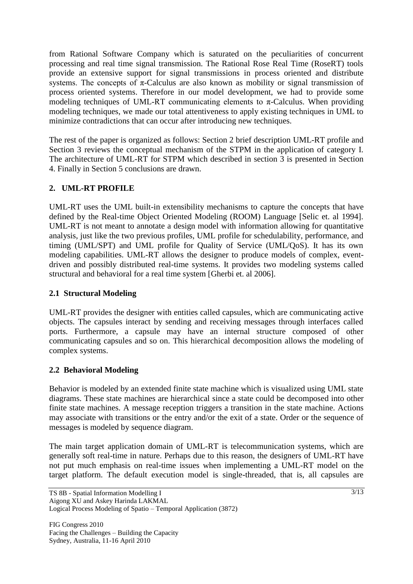from Rational Software Company which is saturated on the peculiarities of concurrent processing and real time signal transmission. The Rational Rose Real Time (RoseRT) tools provide an extensive support for signal transmissions in process oriented and distribute systems. The concepts of  $\pi$ -Calculus are also known as mobility or signal transmission of process oriented systems. Therefore in our model development, we had to provide some modeling techniques of UML-RT communicating elements to  $\pi$ -Calculus. When providing modeling techniques, we made our total attentiveness to apply existing techniques in UML to minimize contradictions that can occur after introducing new techniques.

The rest of the paper is organized as follows: Section 2 brief description UML-RT profile and Section 3 reviews the conceptual mechanism of the STPM in the application of category I. The architecture of UML-RT for STPM which described in section 3 is presented in Section 4. Finally in Section 5 conclusions are drawn.

## **2. UML-RT PROFILE**

UML-RT uses the UML built-in extensibility mechanisms to capture the concepts that have defined by the Real-time Object Oriented Modeling (ROOM) Language [Selic et. al 1994]. UML-RT is not meant to annotate a design model with information allowing for quantitative analysis, just like the two previous profiles, UML profile for schedulability, performance, and timing (UML/SPT) and UML profile for Quality of Service (UML/QoS). It has its own modeling capabilities. UML-RT allows the designer to produce models of complex, eventdriven and possibly distributed real-time systems. It provides two modeling systems called structural and behavioral for a real time system [Gherbi et. al 2006].

### **2.1 Structural Modeling**

UML-RT provides the designer with entities called capsules, which are communicating active objects. The capsules interact by sending and receiving messages through interfaces called ports. Furthermore, a capsule may have an internal structure composed of other communicating capsules and so on. This hierarchical decomposition allows the modeling of complex systems.

## **2.2 Behavioral Modeling**

Behavior is modeled by an extended finite state machine which is visualized using UML state diagrams. These state machines are hierarchical since a state could be decomposed into other finite state machines. A message reception triggers a transition in the state machine. Actions may associate with transitions or the entry and/or the exit of a state. Order or the sequence of messages is modeled by sequence diagram.

The main target application domain of UML-RT is telecommunication systems, which are generally soft real-time in nature. Perhaps due to this reason, the designers of UML-RT have not put much emphasis on real-time issues when implementing a UML-RT model on the target platform. The default execution model is single-threaded, that is, all capsules are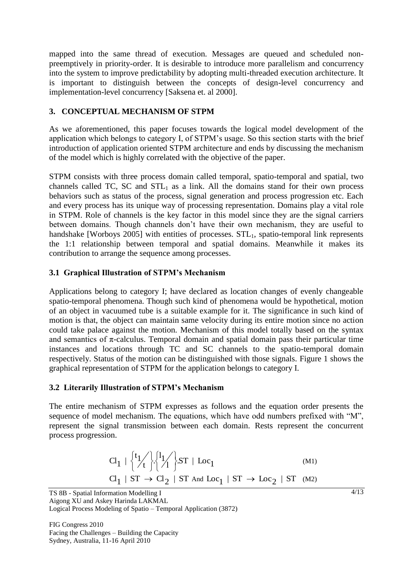mapped into the same thread of execution. Messages are queued and scheduled nonpreemptively in priority-order. It is desirable to introduce more parallelism and concurrency into the system to improve predictability by adopting multi-threaded execution architecture. It is important to distinguish between the concepts of design-level concurrency and implementation-level concurrency [Saksena et. al 2000].

#### **3. CONCEPTUAL MECHANISM OF STPM**

As we aforementioned, this paper focuses towards the logical model development of the application which belongs to category I, of STPM's usage. So this section starts with the brief introduction of application oriented STPM architecture and ends by discussing the mechanism of the model which is highly correlated with the objective of the paper.

STPM consists with three process domain called temporal, spatio-temporal and spatial, two channels called TC, SC and  $STL<sub>1</sub>$  as a link. All the domains stand for their own process behaviors such as status of the process, signal generation and process progression etc. Each and every process has its unique way of processing representation. Domains play a vital role in STPM. Role of channels is the key factor in this model since they are the signal carriers between domains. Though channels don't have their own mechanism, they are useful to handshake [Worboys 2005] with entities of processes.  $STL<sub>1</sub>$ , spatio-temporal link represents the 1:1 relationship between temporal and spatial domains. Meanwhile it makes its contribution to arrange the sequence among processes.

#### **3.1 Graphical Illustration of STPM's Mechanism**

Applications belong to category I; have declared as location changes of evenly changeable spatio-temporal phenomena. Though such kind of phenomena would be hypothetical, motion of an object in vacuumed tube is a suitable example for it. The significance in such kind of motion is that, the object can maintain same velocity during its entire motion since no action could take palace against the motion. Mechanism of this model totally based on the syntax and semantics of  $\pi$ -calculus. Temporal domain and spatial domain pass their particular time instances and locations through TC and SC channels to the spatio-temporal domain respectively. Status of the motion can be distinguished with those signals. Figure 1 shows the graphical representation of STPM for the application belongs to category I.

#### **3.2 Literarily Illustration of STPM's Mechanism**

The entire mechanism of STPM expresses as follows and the equation order presents the sequence of model mechanism. The equations, which have odd numbers prefixed with "M", represent the signal transmission between each domain. Rests represent the concurrent process progression.

$$
Cl_1 \mid {\begin{cases} t_1 / \\ t \end{cases}} {\begin{cases} l_1 / \\ l_1 \end{cases}} \text{ST} \mid \text{Loc}_1 \tag{M1}
$$
  

$$
Cl_1 \mid ST \rightarrow Cl_2 \mid ST \text{ And } \text{Loc}_1 \mid ST \rightarrow \text{Loc}_2 \mid ST \text{ (M2)}
$$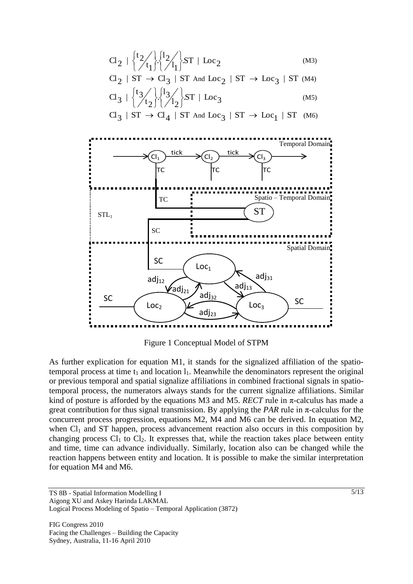$$
Cl_2 \mid \begin{cases} t_2 / \binom{1}{t_1} \binom{1}{t_1} S T \mid Loc_2 \\ Cl_2 \mid ST \to Cl_3 \mid ST \text{ and } Loc_2 \mid ST \to Loc_3 \mid ST \text{ (M4)} \\ Cl_3 \mid \begin{cases} t_3 / \binom{1}{t_2} \binom{1}{t_2} S T \mid Loc_3 \\ \end{cases} \text{ (M5)} \end{cases}
$$

 $Cl_3$  | ST  $\rightarrow Cl_4$  | ST And Loc<sub>3</sub> | ST  $\rightarrow Loc_1$  | ST (M6)



Figure 1 Conceptual Model of STPM

As further explication for equation M1, it stands for the signalized affiliation of the spatiotemporal process at time  $t_1$  and location  $l_1$ . Meanwhile the denominators represent the original or previous temporal and spatial signalize affiliations in combined fractional signals in spatiotemporal process, the numerators always stands for the current signalize affiliations. Similar kind of posture is afforded by the equations M3 and M5. *RECT* rule in  $\pi$ -calculus has made a great contribution for thus signal transmission. By applying the *PAR* rule in  $\pi$ -calculus for the concurrent process progression, equations M2, M4 and M6 can be derived. In equation M2, when  $Cl<sub>1</sub>$  and ST happen, process advancement reaction also occurs in this composition by changing process  $Cl_1$  to  $Cl_2$ . It expresses that, while the reaction takes place between entity and time, time can advance individually. Similarly, location also can be changed while the reaction happens between entity and location. It is possible to make the similar interpretation for equation M4 and M6.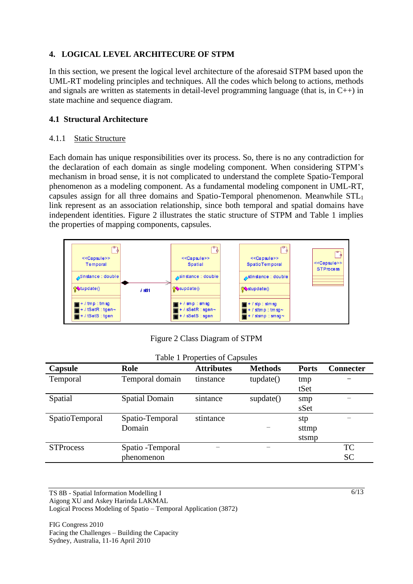### **4. LOGICAL LEVEL ARCHITECURE OF STPM**

In this section, we present the logical level architecture of the aforesaid STPM based upon the UML-RT modeling principles and techniques. All the codes which belong to actions, methods and signals are written as statements in detail-level programming language (that is, in  $C_{++}$ ) in state machine and sequence diagram.

### **4.1 Structural Architecture**

#### 4.1.1 Static Structure

Each domain has unique responsibilities over its process. So, there is no any contradiction for the declaration of each domain as single modeling component. When considering STPM's mechanism in broad sense, it is not complicated to understand the complete Spatio-Temporal phenomenon as a modeling component. As a fundamental modeling component in UML-RT, capsules assign for all three domains and Spatio-Temporal phenomenon. Meanwhile STL<sup>1</sup> link represent as an association relationship, since both temporal and spatial domains have independent identities. Figure 2 illustrates the static structure of STPM and Table 1 implies the properties of mapping components, capsules.



Figure 2 Class Diagram of STPM

| Table 1 Properties of Capsules |                       |                   |                |              |                  |
|--------------------------------|-----------------------|-------------------|----------------|--------------|------------------|
| Capsule                        | Role                  | <b>Attributes</b> | <b>Methods</b> | <b>Ports</b> | <b>Connecter</b> |
| Temporal                       | Temporal domain       | tinstance         | tupdate()      | tmp          |                  |
|                                |                       |                   |                | tSet         |                  |
| Spatial                        | <b>Spatial Domain</b> | sintance          | supdate()      | smp          |                  |
|                                |                       |                   |                | sSet         |                  |
| SpatioTemporal                 | Spatio-Temporal       | stintance         |                | stp          |                  |
|                                | Domain                |                   |                | sttmp        |                  |
|                                |                       |                   |                | stsmp        |                  |
| <b>STProcess</b>               | Spatio - Temporal     |                   |                |              | <b>TC</b>        |
|                                | phenomenon            |                   |                |              | <b>SC</b>        |

TS 8B - Spatial Information Modelling I Aigong XU and Askey Harinda LAKMAL Logical Process Modeling of Spatio – Temporal Application (3872)

FIG Congress 2010 Facing the Challenges – Building the Capacity Sydney, Australia, 11-16 April 2010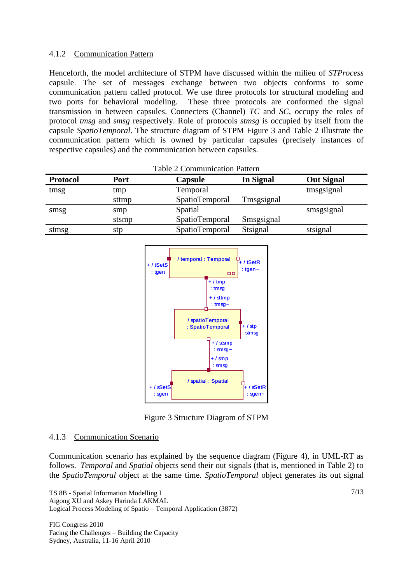### 4.1.2 Communication Pattern

Henceforth, the model architecture of STPM have discussed within the milieu of *STProcess* capsule. The set of messages exchange between two objects conforms to some communication pattern called protocol. We use three protocols for structural modeling and two ports for behavioral modeling. These three protocols are conformed the signal transmission in between capsules. Connecters (Channel) *TC* and *SC*, occupy the roles of protocol *tmsg* and *smsg* respectively. Role of protocols *stmsg* is occupied by itself from the capsule *SpatioTemporal*. The structure diagram of STPM Figure 3 and Table 2 illustrate the communication pattern which is owned by particular capsules (precisely instances of respective capsules) and the communication between capsules.

| <b>Table 2 Communication Pattern</b> |             |                |                  |                   |
|--------------------------------------|-------------|----------------|------------------|-------------------|
| <b>Protocol</b>                      | <b>Port</b> | Capsule        | <b>In Signal</b> | <b>Out Signal</b> |
| tmsg                                 | tmp         | Temporal       |                  | tmsgsignal        |
|                                      | sttmp       | SpatioTemporal | Tmsgsignal       |                   |
| smsg                                 | smp         | Spatial        |                  | smsgsignal        |
|                                      | stsmp       | SpatioTemporal | Smsgsignal       |                   |
| stmsg                                | stp         | SpatioTemporal | Stsignal         | stsignal          |



Figure 3 Structure Diagram of STPM

### 4.1.3 Communication Scenario

Communication scenario has explained by the sequence diagram (Figure 4), in UML-RT as follows. *Temporal* and *Spatial* objects send their out signals (that is, mentioned in Table 2) to the *SpatioTemporal* object at the same time. *SpatioTemporal* object generates its out signal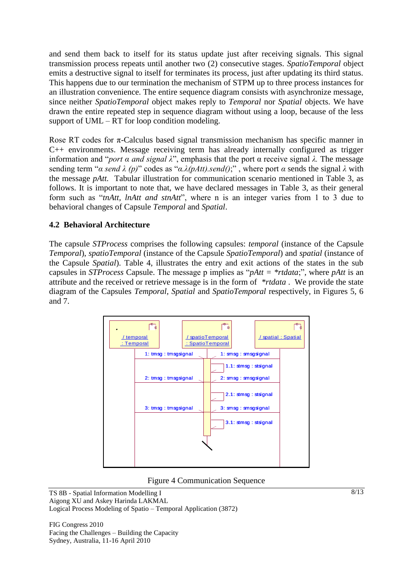and send them back to itself for its status update just after receiving signals. This signal transmission process repeats until another two (2) consecutive stages. *SpatioTemporal* object emits a destructive signal to itself for terminates its process, just after updating its third status. This happens due to our termination the mechanism of STPM up to three process instances for an illustration convenience. The entire sequence diagram consists with asynchronize message, since neither *SpatioTemporal* object makes reply to *Temporal* nor *Spatial* objects. We have drawn the entire repeated step in sequence diagram without using a loop, because of the less support of UML – RT for loop condition modeling.

Rose RT codes for  $\pi$ -Calculus based signal transmission mechanism has specific manner in C++ environments. Message receiving term has already internally configured as trigger information and "*port α and signal λ*", emphasis that the port α receive signal *λ.* The message sending term "*α send λ (p)*" codes as "*α.λ(pAtt).send()*;" , where port *α* sends the signal *λ* with the message *pAtt.* Tabular illustration for communication scenario mentioned in Table 3, as follows. It is important to note that, we have declared messages in Table 3, as their general form such as "*tnAtt, lnAtt and stnAtt*", where n is an integer varies from 1 to 3 due to behavioral changes of Capsule *Temporal* and *Spatial*.

### **4.2 Behavioral Architecture**

The capsule *STProcess* comprises the following capsules: *temporal* (instance of the Capsule *Temporal*), *spatioTemporal* (instance of the Capsule *SpatioTemporal*) and *spatial* (instance of the Capsule *Spatial*). Table 4, illustrates the entry and exit actions of the states in the sub capsules in *STProcess* Capsule. The message p implies as "*pAtt = \*rtdata*;", where *pAtt* is an attribute and the received or retrieve message is in the form of *\*rtdata* . We provide the state diagram of the Capsules *Temporal, Spatial* and *SpatioTemporal* respectively, in Figures 5, 6 and 7.



Figure 4 Communication Sequence

TS 8B - Spatial Information Modelling I Aigong XU and Askey Harinda LAKMAL Logical Process Modeling of Spatio – Temporal Application (3872)

FIG Congress 2010 Facing the Challenges – Building the Capacity Sydney, Australia, 11-16 April 2010

8/13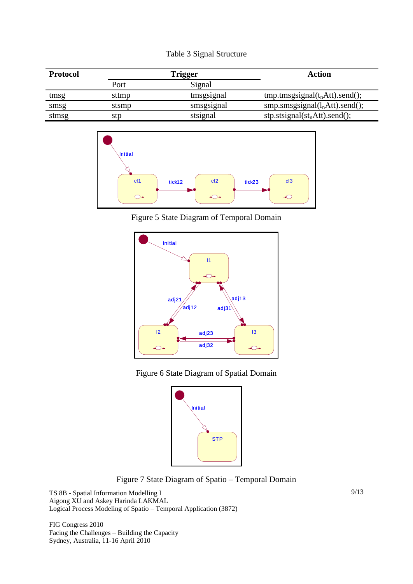|  |  | Table 3 Signal Structure |
|--|--|--------------------------|
|--|--|--------------------------|

| <b>Protocol</b> | Frigger |            | <b>Action</b>                            |
|-----------------|---------|------------|------------------------------------------|
|                 | Port    | Signal     |                                          |
| tmsg            | sttmp   | tmsgsignal | $tmp. tmsgsignal(tnAtt).send();$         |
| smsg            | stsmp   | smsgsignal | $smp.smsgsignal(lnAtt).send();$          |
| stmsg           | stp     | stsignal   | $stp. \text{stsignal}(st_nAtt). send();$ |



Figure 5 State Diagram of Temporal Domain









TS 8B - Spatial Information Modelling I Aigong XU and Askey Harinda LAKMAL Logical Process Modeling of Spatio – Temporal Application (3872)

FIG Congress 2010 Facing the Challenges – Building the Capacity Sydney, Australia, 11-16 April 2010

9/13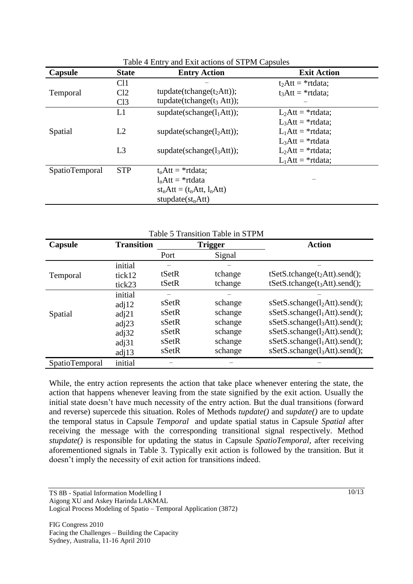| Capsule               | <b>State</b>    | <b>Entry Action</b>                   | <b>Exit Action</b>   |
|-----------------------|-----------------|---------------------------------------|----------------------|
|                       | Cl1             |                                       | $t_2$ Att = *rtdata; |
| Temporal              | Cl <sub>2</sub> | tupdate(tchange(t <sub>2</sub> Att)); | $t_3$ Att = *rtdata; |
|                       | Cl <sub>3</sub> | tupdate(tchange( $t_3$ Att));         |                      |
|                       | L1              | supdate(schange( $l_1$ Att));         | $L_2$ Att = *rtdata; |
|                       |                 |                                       | $L_3$ Att = *rtdata; |
| Spatial               | L2              | supdate(schange( $l_2$ Att));         | $L_1$ Att = *rtdata; |
|                       |                 |                                       | $L_3$ Att = *rtdata  |
|                       | L <sub>3</sub>  | supdate(schange(l <sub>3</sub> Att)); | $L_2$ Att = *rtdata; |
|                       |                 |                                       | $L_1$ Att = *rtdata; |
| <b>SpatioTemporal</b> | <b>STP</b>      | $t_n$ Att = *rtdata;                  |                      |
|                       |                 | $l_n$ Att = *rtdata                   |                      |
|                       |                 | $st_nAtt = (t_nAtt, l_nAtt)$          |                      |
|                       |                 | stupdate $(st_nAtt)$                  |                      |

Table 4 Entry and Exit actions of STPM Capsules

| Table 5 Transition Table in STPM |                   |                |         |                                 |
|----------------------------------|-------------------|----------------|---------|---------------------------------|
| Capsule                          | <b>Transition</b> | <b>Trigger</b> |         | <b>Action</b>                   |
|                                  |                   | Port           | Signal  |                                 |
|                                  | initial           |                |         |                                 |
| Temporal                         | tick12            | tSetR          | tchange | $tSetS.tchange(t_2Att).send();$ |
|                                  | tick23            | tSetR          | tchange | $tSetS.tchange(t3Att).send();$  |
|                                  | initial           |                |         |                                 |
|                                  | adj12             | sSetR          | schange | $sSetS.schange(l2Att).send();$  |
| Spatial                          | adj21             | sSetR          | schange | $sSetS.schange(l1Att).send();$  |
|                                  | adj23             | sSetR          | schange | $sSetS.schange(l3Att).send();$  |
|                                  | adj32             | sSetR          | schange | $sSetS.schange(l2Att).send();$  |
|                                  | adj31             | sSetR          | schange | $sSetS.schange(l1Att).send();$  |
|                                  | adj13             | sSetR          | schange | $sSetS.schange(l3Att).send();$  |
| SpatioTemporal                   | initial           |                |         |                                 |

While, the entry action represents the action that take place whenever entering the state, the action that happens whenever leaving from the state signified by the exit action. Usually the initial state doesn't have much necessity of the entry action. But the dual transitions (forward and reverse) supercede this situation. Roles of Methods *tupdate()* and *supdate()* are to update the temporal status in Capsule *Temporal* and update spatial status in Capsule *Spatial* after receiving the message with the corresponding transitional signal respectively. Method *stupdate()* is responsible for updating the status in Capsule *SpatioTemporal*, after receiving aforementioned signals in Table 3. Typically exit action is followed by the transition. But it doesn't imply the necessity of exit action for transitions indeed.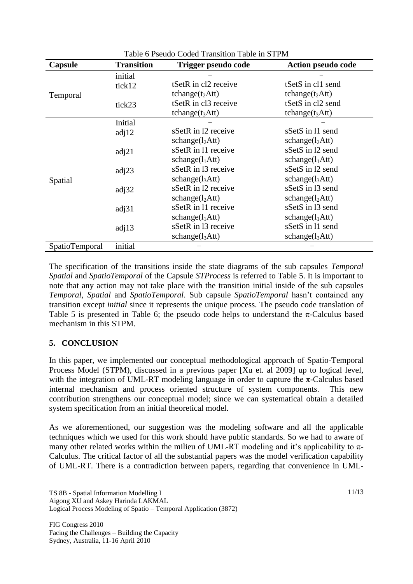| Table o Pseudo Coded Transition Table in STPM |                   |                             |                             |  |
|-----------------------------------------------|-------------------|-----------------------------|-----------------------------|--|
| Capsule                                       | <b>Transition</b> | Trigger pseudo code         | <b>Action pseudo code</b>   |  |
|                                               | initial           |                             |                             |  |
| Temporal                                      | tick12            | tSetR in cl2 receive        | tSetS in cl1 send           |  |
|                                               |                   | tchange $(t_2$ Att)         | tchange $(t_2$ Att)         |  |
|                                               | tick23            | tSetR in cl3 receive        | tSetS in cl2 send           |  |
|                                               |                   | tchange $(t_3$ Att)         | tchange $(t_3$ Att)         |  |
|                                               | Initial           |                             |                             |  |
|                                               | adj12             | sSetR in 12 receive         | sSetS in 11 send            |  |
|                                               |                   | schange(l <sub>2</sub> Att) | schange(l <sub>2</sub> Att) |  |
|                                               | adj21             | sSetR in 11 receive         | sSetS in 12 send            |  |
| Spatial                                       |                   | schange(l <sub>1</sub> Att) | schange(l <sub>1</sub> Att) |  |
|                                               | adj23             | sSetR in 13 receive         | sSetS in 12 send            |  |
|                                               |                   | schange(l <sub>3</sub> Att) | schange(l <sub>3</sub> Att) |  |
|                                               | adj32             | sSetR in 12 receive         | sSetS in 13 send            |  |
|                                               |                   | schange(l <sub>2</sub> Att) | schange(l <sub>2</sub> Att) |  |
|                                               | adj31             | sSetR in 11 receive         | sSetS in 13 send            |  |
|                                               |                   | schange(l <sub>1</sub> Att) | schange(l <sub>1</sub> Att) |  |
|                                               | adj13             | sSetR in 13 receive         | sSetS in 11 send            |  |
|                                               |                   | schange(l <sub>3</sub> Att) | schange(l <sub>3</sub> Att) |  |
| <b>SpatioTemporal</b>                         | initial           |                             |                             |  |

 $T<sub>1</sub>$   $\leq$   $D<sub>2</sub>$   $1 \leq$   $C<sub>1</sub>$   $1$   $1$   $T<sub>2</sub>$   $\leq$   $T<sub>1</sub>$   $\leq$   $T<sub>1</sub>$   $\leq$   $T<sub>1</sub>$   $\leq$   $T<sub>1</sub>$   $\leq$   $T<sub>1</sub>$   $\leq$   $T<sub>1</sub>$   $\leq$   $T<sub>1</sub>$   $\leq$   $T<sub>1</sub>$   $\leq$   $T<sub>1</sub>$   $\le$ 

The specification of the transitions inside the state diagrams of the sub capsules *Temporal Spatial* and *SpatioTemporal* of the Capsule *STProcess* is referred to Table 5. It is important to note that any action may not take place with the transition initial inside of the sub capsules *Temporal*, *Spatial* and *SpatioTemporal*. Sub capsule *SpatioTemporal* hasn't contained any transition except *initial* since it represents the unique process. The pseudo code translation of Table 5 is presented in Table 6; the pseudo code helps to understand the  $\pi$ -Calculus based mechanism in this STPM.

## **5. CONCLUSION**

In this paper, we implemented our conceptual methodological approach of Spatio-Temporal Process Model (STPM), discussed in a previous paper [Xu et. al 2009] up to logical level, with the integration of UML-RT modeling language in order to capture the  $\pi$ -Calculus based internal mechanism and process oriented structure of system components. This new contribution strengthens our conceptual model; since we can systematical obtain a detailed system specification from an initial theoretical model.

As we aforementioned, our suggestion was the modeling software and all the applicable techniques which we used for this work should have public standards. So we had to aware of many other related works within the milieu of UML-RT modeling and it's applicability to  $\pi$ -Calculus. The critical factor of all the substantial papers was the model verification capability of UML-RT. There is a contradiction between papers, regarding that convenience in UML-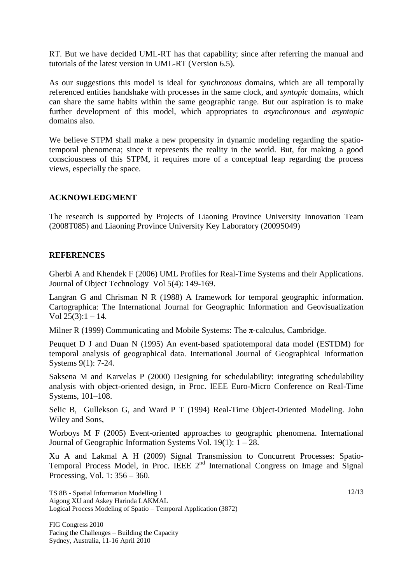RT. But we have decided UML-RT has that capability; since after referring the manual and tutorials of the latest version in UML-RT (Version 6.5).

As our suggestions this model is ideal for *synchronous* domains, which are all temporally referenced entities handshake with processes in the same clock, and *syntopic* domains, which can share the same habits within the same geographic range. But our aspiration is to make further development of this model, which appropriates to *asynchronous* and *asyntopic* domains also.

We believe STPM shall make a new propensity in dynamic modeling regarding the spatiotemporal phenomena; since it represents the reality in the world. But, for making a good consciousness of this STPM, it requires more of a conceptual leap regarding the process views, especially the space.

#### **ACKNOWLEDGMENT**

The research is supported by Projects of Liaoning Province University Innovation Team (2008T085) and Liaoning Province University Key Laboratory (2009S049)

#### **REFERENCES**

Gherbi A and Khendek F (2006) UML Profiles for Real-Time Systems and their Applications. Journal of Object Technology Vol 5(4): 149-169.

Langran G and Chrisman N R (1988) A framework for temporal geographic information. Cartographica: The International Journal for Geographic Information and Geovisualization Vol  $25(3):1 - 14$ .

Milner R (1999) Communicating and Mobile Systems: The  $\pi$ -calculus, Cambridge.

Peuquet D J and Duan N (1995) An event-based spatiotemporal data model (ESTDM) for temporal analysis of geographical data. International Journal of Geographical Information Systems 9(1): 7-24.

Saksena M and Karvelas P (2000) Designing for schedulability: integrating schedulability analysis with object-oriented design, in Proc. IEEE Euro-Micro Conference on Real-Time Systems, 101–108.

Selic B, Gullekson G, and Ward P T (1994) Real-Time Object-Oriented Modeling. John Wiley and Sons,

Worboys M F (2005) Event-oriented approaches to geographic phenomena. International Journal of Geographic Information Systems Vol. 19(1): 1 – 28.

Xu A and Lakmal A H (2009) Signal Transmission to Concurrent Processes: Spatio-Temporal Process Model, in Proc. IEEE 2<sup>nd</sup> International Congress on Image and Signal Processing, Vol. 1: 356 – 360.